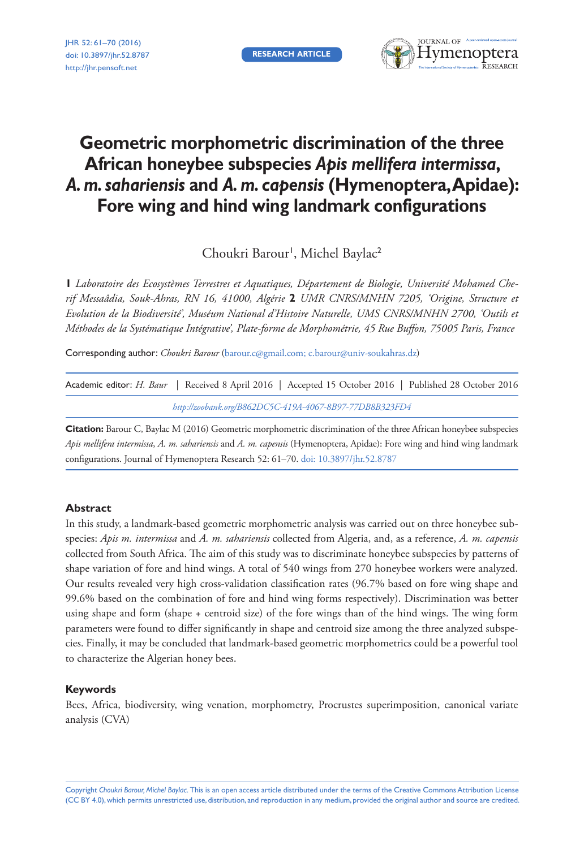**RESEARCH ARTICLE**



# **Geometric morphometric discrimination of the three African honeybee subspecies** *Apis mellifera intermissa***,**  *A. m. sahariensis* **and** *A. m. capensis* **(Hymenoptera, Apidae): Fore wing and hind wing landmark configurations**

Choukri Barour', Michel Baylac<sup>2</sup>

**1** *Laboratoire des Ecosystèmes Terrestres et Aquatiques, Département de Biologie, Université Mohamed Cherif Messaâdia, Souk-Ahras, RN 16, 41000, Algérie* **2** *UMR CNRS/MNHN 7205, 'Origine, Structure et Evolution de la Biodiversité', Muséum National d'Histoire Naturelle, UMS CNRS/MNHN 2700, 'Outils et Méthodes de la Systématique Intégrative', Plate-forme de Morphométrie, 45 Rue Buffon, 75005 Paris, France*

Corresponding author: *Choukri Barour* [\(barour.c@gmail.com](mailto:barour.c@gmail.com); [c.barour@univ-soukahras.dz\)](mailto:c.barour@univ-soukahras.dz)

| Academic editor: H. Baur   Received 8 April 2016   Accepted 15 October 2016   Published 28 October 2016 |
|---------------------------------------------------------------------------------------------------------|
| http://zoobank.org/B862DC5C-419A-4067-8B97-77DB8B323FD4                                                 |

**Citation:** Barour C, Baylac M (2016) Geometric morphometric discrimination of the three African honeybee subspecies *Apis mellifera intermissa*, *A. m. sahariensis* and *A. m. capensis* (Hymenoptera, Apidae): Fore wing and hind wing landmark configurations. Journal of Hymenoptera Research 52: 61–70. [doi: 10.3897/jhr.52.8787](https://doi.org/10.3897/jhr.52.8787)

# **Abstract**

In this study, a landmark-based geometric morphometric analysis was carried out on three honeybee subspecies: *Apis m. intermissa* and *A. m. sahariensis* collected from Algeria, and, as a reference, *A. m. capensis* collected from South Africa. The aim of this study was to discriminate honeybee subspecies by patterns of shape variation of fore and hind wings. A total of 540 wings from 270 honeybee workers were analyzed. Our results revealed very high cross-validation classification rates (96.7% based on fore wing shape and 99.6% based on the combination of fore and hind wing forms respectively). Discrimination was better using shape and form (shape + centroid size) of the fore wings than of the hind wings. The wing form parameters were found to differ significantly in shape and centroid size among the three analyzed subspecies. Finally, it may be concluded that landmark-based geometric morphometrics could be a powerful tool to characterize the Algerian honey bees.

# **Keywords**

Bees, Africa, biodiversity, wing venation, morphometry, Procrustes superimposition, canonical variate analysis (CVA)

Copyright *Choukri Barour, Michel Baylac.* This is an open access article distributed under the terms of the [Creative Commons Attribution License](http://creativecommons.org/licenses/by/4.0/)  [\(CC BY 4.0\)](http://creativecommons.org/licenses/by/4.0/), which permits unrestricted use, distribution, and reproduction in any medium, provided the original author and source are credited.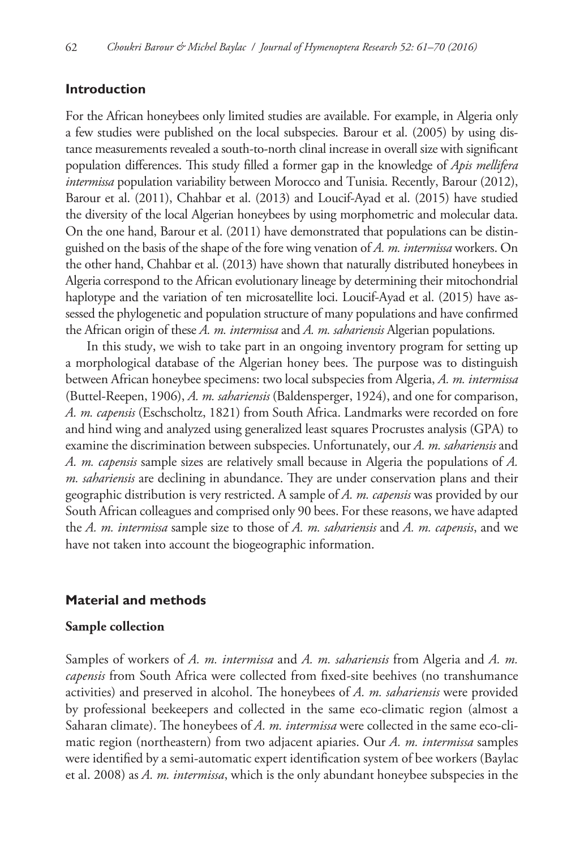## **Introduction**

For the African honeybees only limited studies are available. For example, in Algeria only a few studies were published on the local subspecies. Barour et al. (2005) by using distance measurements revealed a south-to-north clinal increase in overall size with significant population differences. This study filled a former gap in the knowledge of *Apis mellifera intermissa* population variability between Morocco and Tunisia. Recently, Barour (2012), Barour et al. (2011), Chahbar et al. (2013) and Loucif-Ayad et al. (2015) have studied the diversity of the local Algerian honeybees by using morphometric and molecular data. On the one hand, Barour et al. (2011) have demonstrated that populations can be distinguished on the basis of the shape of the fore wing venation of *A. m. intermissa* workers. On the other hand, Chahbar et al. (2013) have shown that naturally distributed honeybees in Algeria correspond to the African evolutionary lineage by determining their mitochondrial haplotype and the variation of ten microsatellite loci. Loucif-Ayad et al. (2015) have assessed the phylogenetic and population structure of many populations and have confirmed the African origin of these *A. m. intermissa* and *A. m. sahariensis* Algerian populations.

In this study, we wish to take part in an ongoing inventory program for setting up a morphological database of the Algerian honey bees. The purpose was to distinguish between African honeybee specimens: two local subspecies from Algeria, *A. m. intermissa*  (Buttel-Reepen, 1906), *A. m. sahariensis* (Baldensperger, 1924), and one for comparison, *A. m. capensis* (Eschscholtz, 1821) from South Africa. Landmarks were recorded on fore and hind wing and analyzed using generalized least squares Procrustes analysis (GPA) to examine the discrimination between subspecies. Unfortunately, our *A. m. sahariensis* and *A. m. capensis* sample sizes are relatively small because in Algeria the populations of *A. m. sahariensis* are declining in abundance. They are under conservation plans and their geographic distribution is very restricted. A sample of *A. m. capensis* was provided by our South African colleagues and comprised only 90 bees. For these reasons, we have adapted the *A. m. intermissa* sample size to those of *A. m. sahariensis* and *A. m. capensis*, and we have not taken into account the biogeographic information.

### **Material and methods**

## **Sample collection**

Samples of workers of *A. m. intermissa* and *A. m. sahariensis* from Algeria and *A. m. capensis* from South Africa were collected from fixed-site beehives (no transhumance activities) and preserved in alcohol. The honeybees of *A. m. sahariensis* were provided by professional beekeepers and collected in the same eco-climatic region (almost a Saharan climate). The honeybees of *A. m. intermissa* were collected in the same eco-climatic region (northeastern) from two adjacent apiaries. Our *A. m. intermissa* samples were identified by a semi-automatic expert identification system of bee workers (Baylac et al. 2008) as *A. m. intermissa*, which is the only abundant honeybee subspecies in the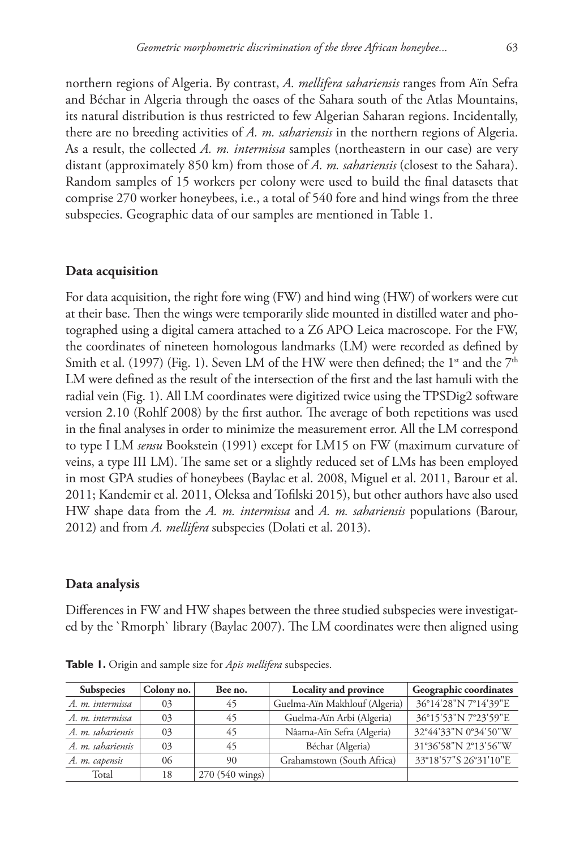northern regions of Algeria. By contrast, *A. mellifera sahariensis* ranges from Aïn Sefra and Béchar in Algeria through the oases of the Sahara south of the Atlas Mountains, its natural distribution is thus restricted to few Algerian Saharan regions. Incidentally, there are no breeding activities of *A. m. sahariensis* in the northern regions of Algeria. As a result, the collected *A. m. intermissa* samples (northeastern in our case) are very distant (approximately 850 km) from those of *A. m. sahariensis* (closest to the Sahara). Random samples of 15 workers per colony were used to build the final datasets that comprise 270 worker honeybees, i.e., a total of 540 fore and hind wings from the three subspecies. Geographic data of our samples are mentioned in Table 1.

#### **Data acquisition**

For data acquisition, the right fore wing (FW) and hind wing (HW) of workers were cut at their base. Then the wings were temporarily slide mounted in distilled water and photographed using a digital camera attached to a Z6 APO Leica macroscope. For the FW, the coordinates of nineteen homologous landmarks (LM) were recorded as defined by Smith et al. (1997) (Fig. 1). Seven LM of the HW were then defined; the 1<sup>st</sup> and the  $7<sup>th</sup>$ LM were defined as the result of the intersection of the first and the last hamuli with the radial vein (Fig. 1). All LM coordinates were digitized twice using the TPSDig2 software version 2.10 (Rohlf 2008) by the first author. The average of both repetitions was used in the final analyses in order to minimize the measurement error. All the LM correspond to type I LM *sensu* Bookstein (1991) except for LM15 on FW (maximum curvature of veins, a type III LM). The same set or a slightly reduced set of LMs has been employed in most GPA studies of honeybees (Baylac et al. 2008, Miguel et al. 2011, Barour et al. 2011; Kandemir et al. 2011, Oleksa and Tofilski 2015), but other authors have also used HW shape data from the *A. m. intermissa* and *A. m. sahariensis* populations (Barour, 2012) and from *A. mellifera* subspecies (Dolati et al. 2013).

#### **Data analysis**

Differences in FW and HW shapes between the three studied subspecies were investigated by the `Rmorph` library (Baylac 2007). The LM coordinates were then aligned using

| <b>Subspecies</b> | Colony no. | Bee no.         | Locality and province         | Geographic coordinates |  |  |
|-------------------|------------|-----------------|-------------------------------|------------------------|--|--|
| A. m. intermissa  | 03         | 45              | Guelma-Aïn Makhlouf (Algeria) | 36°14'28"N 7°14'39"E   |  |  |
| A. m. intermissa  | 03         | 45              | Guelma-Aïn Arbi (Algeria)     | 36°15'53"N 7°23'59"E   |  |  |
| A. m. sahariensis | 03         | 45              | Nâama-Aïn Sefra (Algeria)     | 32°44'33"N 0°34'50"W   |  |  |
| A. m. sahariensis | 03         | 45              | Béchar (Algeria)              | 31°36'58"N 2°13'56"W   |  |  |
| A. m. capensis    | 06         | 90              | Grahamstown (South Africa)    | 33°18'57"S 26°31'10"E  |  |  |
| Total             | 18         | 270 (540 wings) |                               |                        |  |  |

**Table 1.** Origin and sample size for *Apis mellifera* subspecies.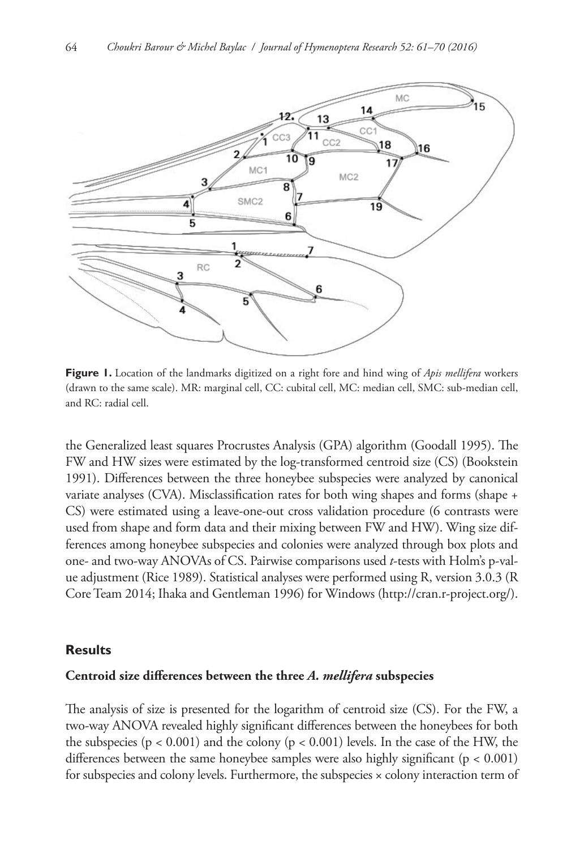

**Figure 1.** Location of the landmarks digitized on a right fore and hind wing of *Apis mellifera* workers (drawn to the same scale). MR: marginal cell, CC: cubital cell, MC: median cell, SMC: sub-median cell, and RC: radial cell.

the Generalized least squares Procrustes Analysis (GPA) algorithm (Goodall 1995). The FW and HW sizes were estimated by the log-transformed centroid size (CS) (Bookstein 1991). Differences between the three honeybee subspecies were analyzed by canonical variate analyses (CVA). Misclassification rates for both wing shapes and forms (shape + CS) were estimated using a leave-one-out cross validation procedure (6 contrasts were used from shape and form data and their mixing between FW and HW). Wing size differences among honeybee subspecies and colonies were analyzed through box plots and one- and two-way ANOVAs of CS. Pairwise comparisons used *t*-tests with Holm's p-value adjustment (Rice 1989). Statistical analyses were performed using R, version 3.0.3 (R Core Team 2014; Ihaka and Gentleman 1996) for Windows [\(http://cran.r-project.org/](http://cran.r-project.org/)).

#### **Results**

#### **Centroid size differences between the three** *A. mellifera* **subspecies**

The analysis of size is presented for the logarithm of centroid size (CS). For the FW, a two-way ANOVA revealed highly significant differences between the honeybees for both the subspecies ( $p < 0.001$ ) and the colony ( $p < 0.001$ ) levels. In the case of the HW, the differences between the same honeybee samples were also highly significant (p < 0.001) for subspecies and colony levels. Furthermore, the subspecies x colony interaction term of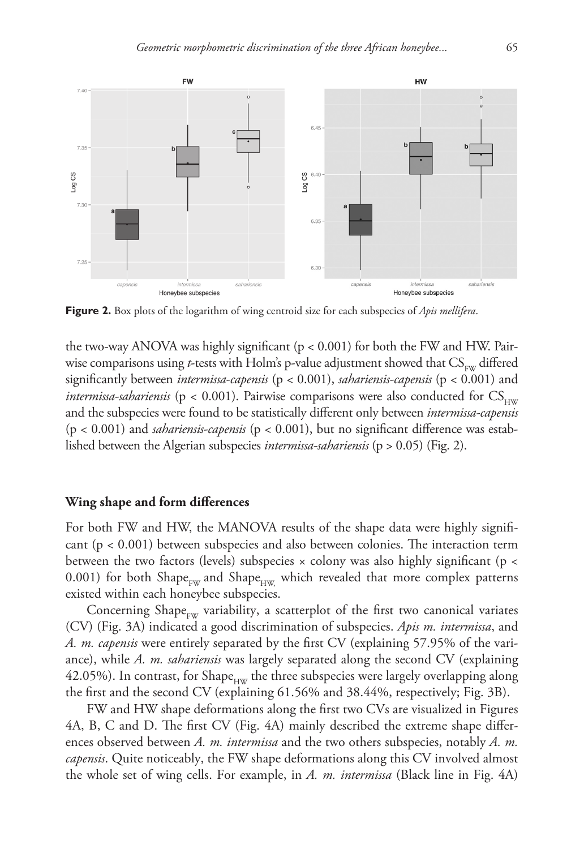

**Figure 2.** Box plots of the logarithm of wing centroid size for each subspecies of *Apis mellifera*.

the two-way ANOVA was highly significant (p < 0.001) for both the FW and HW. Pairwise comparisons using *t*-tests with Holm's p-value adjustment showed that  $CS_{\text{rw}}$  differed significantly between *intermissa-capensis* (p < 0.001), *sahariensis-capensis* (p < 0.001) and *intermissa-sahariensis* ( $p < 0.001$ ). Pairwise comparisons were also conducted for  $CS_{H/W}$ and the subspecies were found to be statistically different only between *intermissa-capensis*  (p < 0.001) and *sahariensis-capensis* (p < 0.001), but no significant difference was established between the Algerian subspecies *intermissa-sahariensis* (p > 0.05) (Fig. 2).

## **Wing shape and form differences**

For both FW and HW, the MANOVA results of the shape data were highly significant (p < 0.001) between subspecies and also between colonies. The interaction term between the two factors (levels) subspecies  $\times$  colony was also highly significant (p  $\lt$ 0.001) for both Shape<sub>FW</sub> and Shape<sub>HW</sub> which revealed that more complex patterns existed within each honeybee subspecies.

Concerning Shape $_{\text{EW}}$  variability, a scatterplot of the first two canonical variates (CV) (Fig. 3A) indicated a good discrimination of subspecies. *Apis m. intermissa*, and *A. m. capensis* were entirely separated by the first CV (explaining 57.95% of the variance), while *A. m. sahariensis* was largely separated along the second CV (explaining 42.05%). In contrast, for Shape<sub>HW</sub> the three subspecies were largely overlapping along the first and the second CV (explaining 61.56% and 38.44%, respectively; Fig. 3B).

FW and HW shape deformations along the first two CVs are visualized in Figures 4A, B, C and D. The first CV (Fig. 4A) mainly described the extreme shape differences observed between *A. m. intermissa* and the two others subspecies, notably *A. m. capensis*. Quite noticeably, the FW shape deformations along this CV involved almost the whole set of wing cells. For example, in *A. m. intermissa* (Black line in Fig. 4A)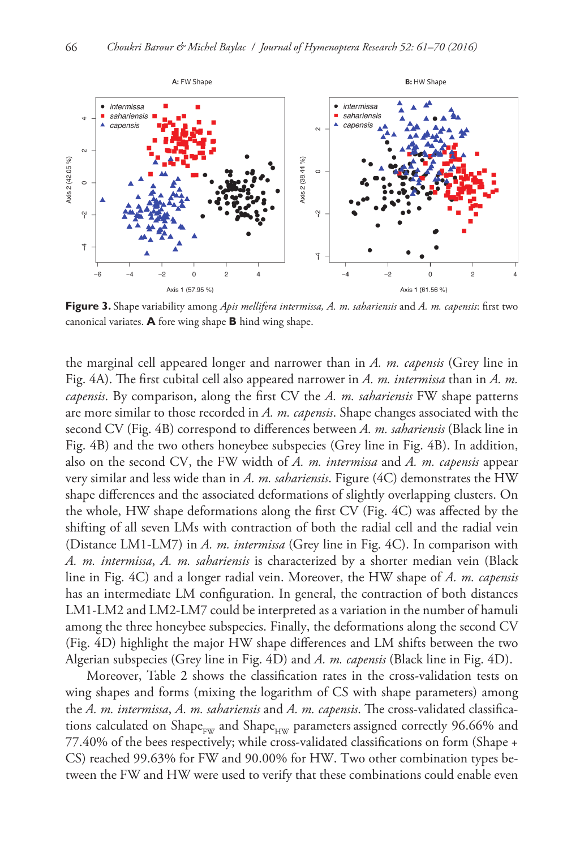

**Figure 3.** Shape variability among *Apis mellifera intermissa, A. m. sahariensis* and *A. m. capensis*: first two canonical variates. **A** fore wing shape **B** hind wing shape.

the marginal cell appeared longer and narrower than in *A. m. capensis* (Grey line in Fig. 4A). The first cubital cell also appeared narrower in *A. m. intermissa* than in *A. m. capensis*. By comparison, along the first CV the *A. m. sahariensis* FW shape patterns are more similar to those recorded in *A. m. capensis*. Shape changes associated with the second CV (Fig. 4B) correspond to differences between *A. m. sahariensis* (Black line in Fig. 4B) and the two others honeybee subspecies (Grey line in Fig. 4B). In addition, also on the second CV, the FW width of *A. m. intermissa* and *A. m. capensis* appear very similar and less wide than in *A. m. sahariensis*. Figure (4C) demonstrates the HW shape differences and the associated deformations of slightly overlapping clusters. On the whole, HW shape deformations along the first CV (Fig. 4C) was affected by the shifting of all seven LMs with contraction of both the radial cell and the radial vein (Distance LM1-LM7) in *A. m. intermissa* (Grey line in Fig. 4C). In comparison with *A. m. intermissa*, *A. m. sahariensis* is characterized by a shorter median vein (Black line in Fig. 4C) and a longer radial vein. Moreover, the HW shape of *A. m. capensis*  has an intermediate LM configuration. In general, the contraction of both distances LM1-LM2 and LM2-LM7 could be interpreted as a variation in the number of hamuli among the three honeybee subspecies. Finally, the deformations along the second CV (Fig. 4D) highlight the major HW shape differences and LM shifts between the two Algerian subspecies (Grey line in Fig. 4D) and *A. m. capensis* (Black line in Fig. 4D).

Moreover, Table 2 shows the classification rates in the cross-validation tests on wing shapes and forms (mixing the logarithm of CS with shape parameters) among the *A. m. intermissa*, *A. m. sahariensis* and *A. m. capensis*. The cross-validated classifications calculated on Shape<sub>rw</sub> and Shape<sub>rw</sub> parameters assigned correctly 96.66% and 77.40% of the bees respectively; while cross-validated classifications on form (Shape + CS) reached 99.63% for FW and 90.00% for HW. Two other combination types between the FW and HW were used to verify that these combinations could enable even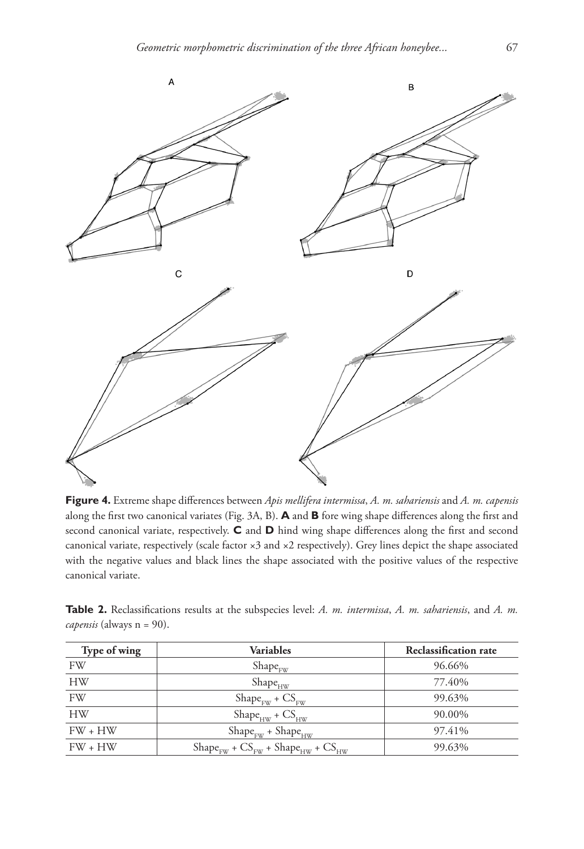

**Figure 4.** Extreme shape differences between *Apis mellifera intermissa*, *A. m. sahariensis* and *A. m. capensis* along the first two canonical variates (Fig. 3A, B). **A** and **B** fore wing shape differences along the first and second canonical variate, respectively. **C** and **D** hind wing shape differences along the first and second canonical variate, respectively (scale factor ×3 and ×2 respectively). Grey lines depict the shape associated with the negative values and black lines the shape associated with the positive values of the respective canonical variate.

| Table 2. Reclassifications results at the subspecies level: A. m. intermissa, A. m. sahariensis, and A. m. |  |  |  |  |  |  |
|------------------------------------------------------------------------------------------------------------|--|--|--|--|--|--|
| <i>capensis</i> (always n = 90).                                                                           |  |  |  |  |  |  |

| Type of wing | Variables                                           | <b>Reclassification rate</b> |  |  |  |  |
|--------------|-----------------------------------------------------|------------------------------|--|--|--|--|
| FW           | $Shape_{FW}$                                        | 96.66%                       |  |  |  |  |
| <b>HW</b>    | $Shape_{HW}$                                        | 77.40%                       |  |  |  |  |
| <b>FW</b>    | $Shape_{\text{EW}} + CS_{\text{EW}}$                | 99.63%                       |  |  |  |  |
| <b>HW</b>    | $Shape_{HW} + CS_{HW}$                              | 90.00%                       |  |  |  |  |
| $FW + HW$    | $Shape_{FW} + Shape_{HW}$                           | 97.41%                       |  |  |  |  |
| $FW + HW$    | $Shape_{FW}$ + $CS_{FW}$ + $Shape_{HW}$ + $CS_{HW}$ | 99.63%                       |  |  |  |  |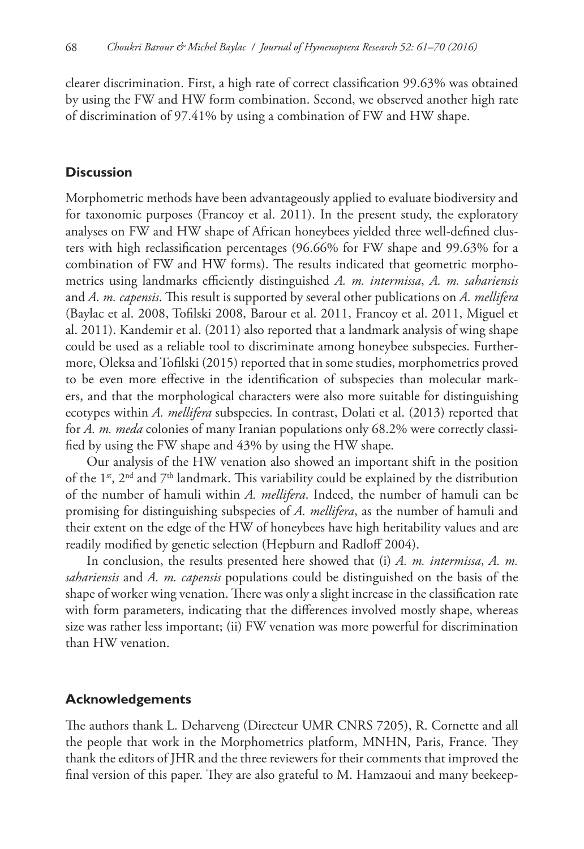clearer discrimination. First, a high rate of correct classification 99.63% was obtained by using the FW and HW form combination. Second, we observed another high rate of discrimination of 97.41% by using a combination of FW and HW shape.

## **Discussion**

Morphometric methods have been advantageously applied to evaluate biodiversity and for taxonomic purposes (Francoy et al. 2011). In the present study, the exploratory analyses on FW and HW shape of African honeybees yielded three well-defined clusters with high reclassification percentages (96.66% for FW shape and 99.63% for a combination of FW and HW forms). The results indicated that geometric morphometrics using landmarks efficiently distinguished *A. m. intermissa*, *A. m. sahariensis*  and *A. m. capensis*. This result is supported by several other publications on *A. mellifera* (Baylac et al. 2008, Tofilski 2008, Barour et al. 2011, Francoy et al. 2011, Miguel et al. 2011). Kandemir et al. (2011) also reported that a landmark analysis of wing shape could be used as a reliable tool to discriminate among honeybee subspecies. Furthermore, Oleksa and Tofilski (2015) reported that in some studies, morphometrics proved to be even more effective in the identification of subspecies than molecular markers, and that the morphological characters were also more suitable for distinguishing ecotypes within *A. mellifera* subspecies. In contrast, Dolati et al. (2013) reported that for *A. m. meda* colonies of many Iranian populations only 68.2% were correctly classified by using the FW shape and 43% by using the HW shape.

Our analysis of the HW venation also showed an important shift in the position of the  $1<sup>st</sup>$ ,  $2<sup>nd</sup>$  and  $7<sup>th</sup>$  landmark. This variability could be explained by the distribution of the number of hamuli within *A. mellifera*. Indeed, the number of hamuli can be promising for distinguishing subspecies of *A. mellifera*, as the number of hamuli and their extent on the edge of the HW of honeybees have high heritability values and are readily modified by genetic selection (Hepburn and Radloff 2004).

In conclusion, the results presented here showed that (i) *A. m. intermissa*, *A. m. sahariensis* and *A. m. capensis* populations could be distinguished on the basis of the shape of worker wing venation. There was only a slight increase in the classification rate with form parameters, indicating that the differences involved mostly shape, whereas size was rather less important; (ii) FW venation was more powerful for discrimination than HW venation.

## **Acknowledgements**

The authors thank L. Deharveng (Directeur UMR CNRS 7205), R. Cornette and all the people that work in the Morphometrics platform, MNHN, Paris, France. They thank the editors of JHR and the three reviewers for their comments that improved the final version of this paper. They are also grateful to M. Hamzaoui and many beekeep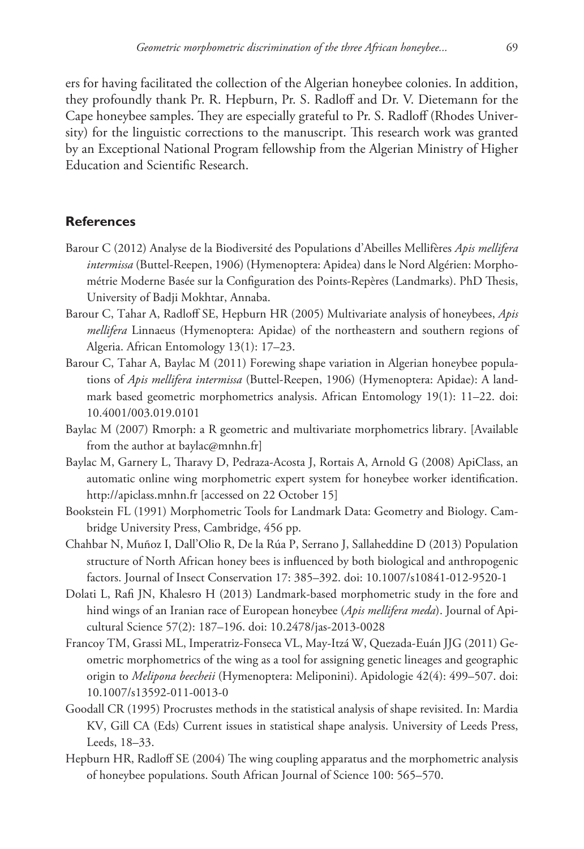ers for having facilitated the collection of the Algerian honeybee colonies. In addition, they profoundly thank Pr. R. Hepburn, Pr. S. Radloff and Dr. V. Dietemann for the Cape honeybee samples. They are especially grateful to Pr. S. Radloff (Rhodes University) for the linguistic corrections to the manuscript. This research work was granted by an Exceptional National Program fellowship from the Algerian Ministry of Higher Education and Scientific Research.

# **References**

- Barour C (2012) Analyse de la Biodiversité des Populations d'Abeilles Mellifères *Apis mellifera intermissa* (Buttel-Reepen, 1906) (Hymenoptera: Apidea) dans le Nord Algérien: Morphométrie Moderne Basée sur la Configuration des Points-Repères (Landmarks). PhD Thesis, University of Badji Mokhtar, Annaba.
- Barour C, Tahar A, Radloff SE, Hepburn HR (2005) Multivariate analysis of honeybees, *Apis mellifera* Linnaeus (Hymenoptera: Apidae) of the northeastern and southern regions of Algeria. African Entomology 13(1): 17–23.
- Barour C, Tahar A, Baylac M (2011) Forewing shape variation in Algerian honeybee populations of *Apis mellifera intermissa* (Buttel-Reepen, 1906) (Hymenoptera: Apidae): A landmark based geometric morphometrics analysis. African Entomology 19(1): 11–22. [doi:](https://doi.org/10.4001/003.019.0101) [10.4001/003.019.0101](https://doi.org/10.4001/003.019.0101)
- Baylac M (2007) Rmorph: a R geometric and multivariate morphometrics library. [Available from the author at [baylac@mnhn.fr](mailto:baylac@mnhn.fr)]
- Baylac M, Garnery L, Tharavy D, Pedraza-Acosta J, Rortais A, Arnold G (2008) ApiClass, an automatic online wing morphometric expert system for honeybee worker identification. <http://apiclass.mnhn.fr> [accessed on 22 October 15]
- Bookstein FL (1991) Morphometric Tools for Landmark Data: Geometry and Biology. Cambridge University Press, Cambridge, 456 pp.
- Chahbar N, Muñoz I, Dall'Olio R, De la Rúa P, Serrano J, Sallaheddine D (2013) Population structure of North African honey bees is influenced by both biological and anthropogenic factors. Journal of Insect Conservation 17: 385–392. [doi: 10.1007/s10841-012-9520-1](https://doi.org/10.1007/s10841-012-9520-1)
- Dolati L, Rafi JN, Khalesro H (2013) Landmark-based morphometric study in the fore and hind wings of an Iranian race of European honeybee (*Apis mellifera meda*). Journal of Apicultural Science 57(2): 187–196. [doi: 10.2478/jas-2013-0028](https://doi.org/10.2478/jas-2013-0028)
- Francoy TM, Grassi ML, Imperatriz-Fonseca VL, May-Itzá W, Quezada-Euán JJG (2011) Geometric morphometrics of the wing as a tool for assigning genetic lineages and geographic origin to *Melipona beecheii* (Hymenoptera: Meliponini). Apidologie 42(4): 499–507. [doi:](https://doi.org/10.1007/s13592-011-0013-0) [10.1007/s13592-011-0013-0](https://doi.org/10.1007/s13592-011-0013-0)
- Goodall CR (1995) Procrustes methods in the statistical analysis of shape revisited. In: Mardia KV, Gill CA (Eds) Current issues in statistical shape analysis. University of Leeds Press, Leeds, 18–33.
- Hepburn HR, Radloff SE (2004) The wing coupling apparatus and the morphometric analysis of honeybee populations. South African Journal of Science 100: 565–570.